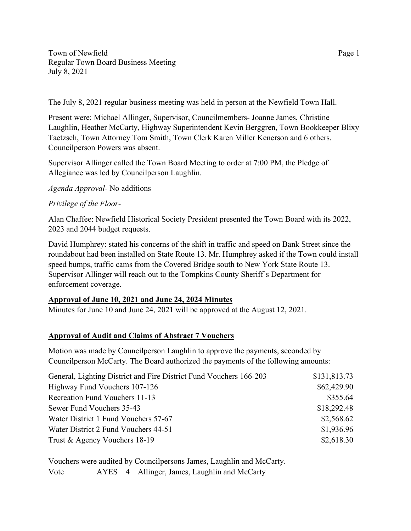Town of Newfield Page 1 Regular Town Board Business Meeting July 8, 2021

The July 8, 2021 regular business meeting was held in person at the Newfield Town Hall.

Present were: Michael Allinger, Supervisor, Councilmembers- Joanne James, Christine Laughlin, Heather McCarty, Highway Superintendent Kevin Berggren, Town Bookkeeper Blixy Taetzsch, Town Attorney Tom Smith, Town Clerk Karen Miller Kenerson and 6 others. Councilperson Powers was absent.

Supervisor Allinger called the Town Board Meeting to order at 7:00 PM, the Pledge of Allegiance was led by Councilperson Laughlin.

*Agenda Approval-* No additions

## *Privilege of the Floor*-

Alan Chaffee: Newfield Historical Society President presented the Town Board with its 2022, 2023 and 2044 budget requests.

David Humphrey: stated his concerns of the shift in traffic and speed on Bank Street since the roundabout had been installed on State Route 13. Mr. Humphrey asked if the Town could install speed bumps, traffic cams from the Covered Bridge south to New York State Route 13. Supervisor Allinger will reach out to the Tompkins County Sheriff's Department for enforcement coverage.

# **Approval of June 10, 2021 and June 24, 2024 Minutes**

Minutes for June 10 and June 24, 2021 will be approved at the August 12, 2021.

## **Approval of Audit and Claims of Abstract 7 Vouchers**

Motion was made by Councilperson Laughlin to approve the payments, seconded by Councilperson McCarty. The Board authorized the payments of the following amounts:

| General, Lighting District and Fire District Fund Vouchers 166-203 | \$131,813.73 |
|--------------------------------------------------------------------|--------------|
| Highway Fund Vouchers 107-126                                      | \$62,429.90  |
| Recreation Fund Vouchers 11-13                                     | \$355.64     |
| Sewer Fund Vouchers 35-43                                          | \$18,292.48  |
| Water District 1 Fund Vouchers 57-67                               | \$2,568.62   |
| Water District 2 Fund Vouchers 44-51                               | \$1,936.96   |
| Trust & Agency Vouchers 18-19                                      | \$2,618.30   |

Vouchers were audited by Councilpersons James, Laughlin and McCarty. Vote AYES 4 Allinger, James, Laughlin and McCarty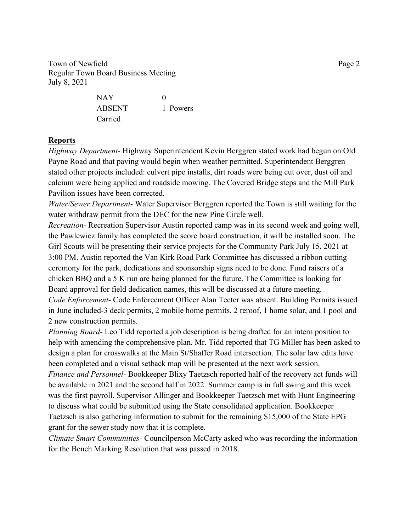Town of Newfield Page 2 Regular Town Board Business Meeting July 8, 2021

| NAY     | $\Omega$ |
|---------|----------|
| ABSENT  | 1 Powers |
| Carried |          |

#### **Reports**

*Highway Department-* Highway Superintendent Kevin Berggren stated work had begun on Old Payne Road and that paving would begin when weather permitted. Superintendent Berggren stated other projects included: culvert pipe installs, dirt roads were being cut over, dust oil and calcium were being applied and roadside mowing. The Covered Bridge steps and the Mill Park Pavilion issues have been corrected.

*Water/Sewer Department*- Water Supervisor Berggren reported the Town is still waiting for the water withdraw permit from the DEC for the new Pine Circle well.

*Recreation-* Recreation Supervisor Austin reported camp was in its second week and going well, the Pawlewicz family has completed the score board construction, it will be installed soon. The Girl Scouts will be presenting their service projects for the Community Park July 15, 2021 at 3:00 PM. Austin reported the Van Kirk Road Park Committee has discussed a ribbon cutting ceremony for the park, dedications and sponsorship signs need to be done. Fund raisers of a chicken BBQ and a 5 K run are being planned for the future. The Committee is looking for Board approval for field dedication names, this will be discussed at a future meeting. *Code Enforcement*- Code Enforcement Officer Alan Teeter was absent. Building Permits issued in June included-3 deck permits, 2 mobile home permits, 2 reroof, 1 home solar, and 1 pool and

2 new construction permits.

*Planning Board*- Leo Tidd reported a job description is being drafted for an intern position to help with amending the comprehensive plan. Mr. Tidd reported that TG Miller has been asked to design a plan for crosswalks at the Main St/Shaffer Road intersection. The solar law edits have been completed and a visual setback map will be presented at the next work session.

*Finance and Personnel*- Bookkeeper Blixy Taetzsch reported half of the recovery act funds will be available in 2021 and the second half in 2022. Summer camp is in full swing and this week was the first payroll. Supervisor Allinger and Bookkeeper Taetzsch met with Hunt Engineering to discuss what could be submitted using the State consolidated application. Bookkeeper Taetzsch is also gathering information to submit for the remaining \$15,000 of the State EPG grant for the sewer study now that it is complete.

*Climate Smart Communities*- Councilperson McCarty asked who was recording the information for the Bench Marking Resolution that was passed in 2018.